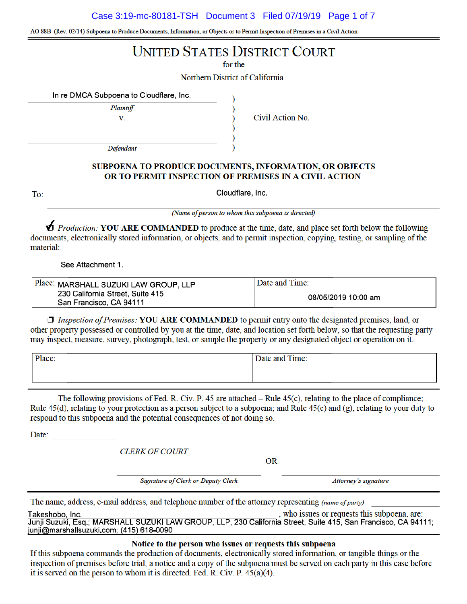Case 3:19-mc-80181-TSH Document 3 Filed 07/19/19 Page 1 of 7

AO 88B (Rev. 02/14) Subpoena to Produce Documents, Information, or Objects or to Permit Inspection of Premises in a Civil Action

# **UNITED STATES DISTRICT COURT**

for the

Northern District of California

)

In re DMCA Subpoena to Cloudflare, Inc.

Plaintiff V.

Civil Action No.

Defendant

## SUBPOENA TO PRODUCE DOCUMENTS, INFORMATION, OR OBJECTS OR TO PERMIT INSPECTION OF PREMISES IN A CIVIL ACTION

To:

Cloudflare, Inc.

(Name of person to whom this subpoena is directed)

*D* Production: YOU ARE COMMANDED to produce at the time, date, and place set forth below the following documents, electronically stored information, or objects, and to permit inspection, copying, testing, or sampling of the material:

See Attachment 1.

| Place: MARSHALL SUZUKI LAW GROUP, LLP                       | Date and Time:      |
|-------------------------------------------------------------|---------------------|
| 230 California Street, Suite 415<br>San Francisco, CA 94111 | 08/05/2019 10:00 am |

 $\Box$  Inspection of Premises: YOU ARE COMMANDED to permit entry onto the designated premises, land, or other property possessed or controlled by you at the time, date, and location set forth below, so that the requesting party may inspect, measure, survey, photograph, test, or sample the property or any designated object or operation on it.

| Place: | Date and Time: |  |
|--------|----------------|--|
|        |                |  |
|        |                |  |

The following provisions of Fed. R. Civ. P. 45 are attached  $-$  Rule 45(c), relating to the place of compliance; Rule 45(d), relating to your protection as a person subject to a subpoena; and Rule 45(e) and (g), relating to your duty to respond to this subpoena and the potential consequences of not doing so.

Date:

**CLERK OF COURT** 

**OR** 

Signature of Clerk or Deputy Clerk

Attorney's signature

The name, address, e-mail address, and telephone number of the attorney representing *(name of party)* 

, who issues or requests this subpoena, are: Takeshobo, Inc. Junii Suzuki, Esg.; MARSHALL SUZUKI LAW GROUP, LLP, 230 California Street, Suite 415, San Francisco, CA 94111; junji@marshallsuzuki.com; (415) 618-0090

Notice to the person who issues or requests this subpoena

If this subpoena commands the production of documents, electronically stored information, or tangible things or the inspection of premises before trial, a notice and a copy of the subpoena must be served on each party in this case before it is served on the person to whom it is directed. Fed. R. Civ. P.  $45(a)(4)$ .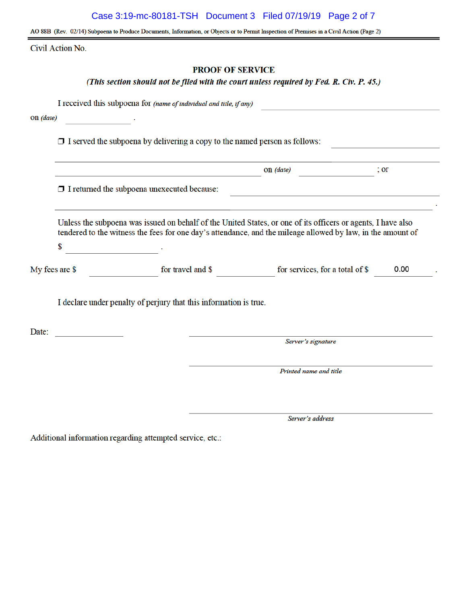## Case 3:19-mc-80181-TSH Document 3 Filed 07/19/19 Page 2 of 7

AO 88B (Rev. 02/14) Subpoena to Produce Documents, Information, or Objects or to Permit Inspection of Premises in a Civil Action (Page 2)

Civil Action No.

## **PROOF OF SERVICE**

## (This section should not be filed with the court unless required by Fed. R. Civ. P. 45.)

I received this subpoena for (name of individual and title, if any)

and the company of the

On (date)

 $\Box$  I served the subpoena by delivering a copy to the named person as follows:

|                                                    | $on$ (date) | . Or |  |
|----------------------------------------------------|-------------|------|--|
| $\Box$ I returned the subpoena unexecuted because: |             |      |  |

Unless the subpoena was issued on behalf of the United States, or one of its officers or agents, I have also tendered to the witness the fees for one day's attendance, and the mileage allowed by law, in the amount of

\$

for travel and \$ for services, for a total of \$ My fees are \$ 0.00

I declare under penalty of perjury that this information is true.

Date:

Server's signature

Printed name and title

Server's address

Additional information regarding attempted service, etc.: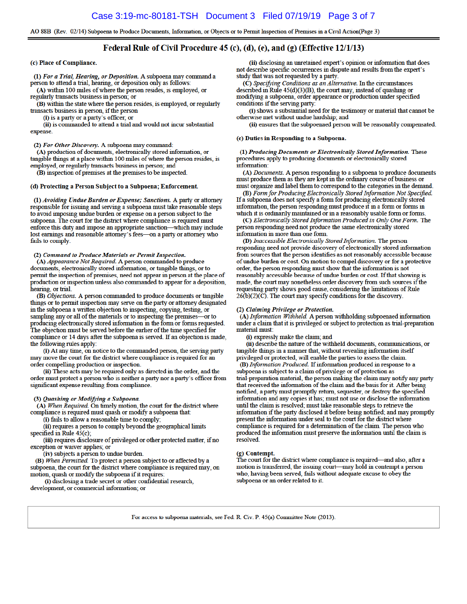AO 88B (Rev. 02/14) Subpoena to Produce Documents, Information, or Objects or to Permit Inspection of Premises in a Civil Action(Page 3)

## Federal Rule of Civil Procedure 45 (c), (d), (e), and (g) (Effective  $12/1/13$ )

(c) Place of Compliance.

(1) For a Trial, Hearing, or Deposition. A subpoena may command a person to attend a trial, hearing, or deposition only as follows:

(A) within 100 miles of where the person resides, is employed, or regularly transacts business in person; or

(B) within the state where the person resides, is employed, or regularly transacts business in person, if the person

(i) is a party or a party's officer; or

(ii) is commanded to attend a trial and would not incur substantial expense.

(2) For Other Discovery. A subpoena may command:

(A) production of documents, electronically stored information, or tangible things at a place within 100 miles of where the person resides, is employed, or regularly transacts business in person; and

(B) inspection of premises at the premises to be inspected.

#### (d) Protecting a Person Subject to a Subpoena; Enforcement.

(1) Avoiding Undue Burden or Expense; Sanctions. A party or attorney responsible for issuing and serving a subpoena must take reasonable steps to avoid imposing undue burden or expense on a person subject to the subpoena. The court for the district where compliance is required must enforce this duty and impose an appropriate sanction-which may include lost earnings and reasonable attorney's fees-on a party or attorney who fails to comply.

#### (2) Command to Produce Materials or Permit Inspection.

(A) Appearance Not Required. A person commanded to produce documents, electronically stored information, or tangible things, or to permit the inspection of premises, need not appear in person at the place of production or inspection unless also commanded to appear for a deposition, hearing, or trial.

(B) Objections. A person commanded to produce documents or tangible things or to permit inspection may serve on the party or attorney designated in the subpoena a written objection to inspecting, copying, testing, or sampling any or all of the materials or to inspecting the premises-or to producing electronically stored information in the form or forms requested. The objection must be served before the earlier of the time specified for compliance or 14 days after the subpoena is served. If an objection is made, the following rules apply:

(i) At any time, on notice to the commanded person, the serving party may move the court for the district where compliance is required for an order compelling production or inspection.

(ii) These acts may be required only as directed in the order, and the order must protect a person who is neither a party nor a party's officer from significant expense resulting from compliance.

### (3) Quashing or Modifying a Subpoena.

(A) When Required. On timely motion, the court for the district where compliance is required must quash or modify a subpoena that:

(i) fails to allow a reasonable time to comply;

(ii) requires a person to comply beyond the geographical limits specified in Rule 45(c);

(iii) requires disclosure of privileged or other protected matter, if no exception or waiver applies; or

(iv) subjects a person to undue burden.

(B) When Permitted. To protect a person subject to or affected by a subpoena, the court for the district where compliance is required may, on motion, quash or modify the subpoena if it requires:

(i) disclosing a trade secret or other confidential research, development, or commercial information; or

(ii) disclosing an unretained expert's opinion or information that does not describe specific occurrences in dispute and results from the expert's study that was not requested by a party.

(C) Specifying Conditions as an Alternative. In the circumstances described in Rule 45(d)(3)(B), the court may, instead of quashing or modifying a subpoena, order appearance or production under specified conditions if the serving party:

(i) shows a substantial need for the testimony or material that cannot be otherwise met without undue hardship; and

(ii) ensures that the subpoenaed person will be reasonably compensated.

#### (e) Duties in Responding to a Subpoena.

(1) Producing Documents or Electronically Stored Information. These procedures apply to producing documents or electronically stored information

(A) Documents. A person responding to a subpoena to produce documents must produce them as they are kept in the ordinary course of business or must organize and label them to correspond to the categories in the demand.

(B) Form for Producing Electronically Stored Information Not Specified. If a subpoena does not specify a form for producing electronically stored information, the person responding must produce it in a form or forms in which it is ordinarily maintained or in a reasonably usable form or forms.

(C) Electronically Stored Information Produced in Only One Form. The person responding need not produce the same electronically stored information in more than one form.

(D) Inaccessible Electronically Stored Information. The person responding need not provide discovery of electronically stored information from sources that the person identifies as not reasonably accessible because of undue burden or cost. On motion to compel discovery or for a protective order, the person responding must show that the information is not reasonably accessible because of undue burden or cost. If that showing is made, the court may nonetheless order discovery from such sources if the requesting party shows good cause, considering the limitations of Rule  $26(b)(2)(C)$ . The court may specify conditions for the discovery.

#### (2) Claiming Privilege or Protection.

(A) Information Withheld. A person withholding subpoenaed information under a claim that it is privileged or subject to protection as trial-preparation material must:

(i) expressly make the claim; and

(ii) describe the nature of the withheld documents, communications, or tangible things in a manner that, without revealing information itself privileged or protected, will enable the parties to assess the claim.

(B) Information Produced. If information produced in response to a subpoena is subject to a claim of privilege or of protection as trial-preparation material, the person making the claim may notify any party that received the information of the claim and the basis for it. After being notified, a party must promptly return, sequester, or destroy the specified information and any copies it has; must not use or disclose the information until the claim is resolved; must take reasonable steps to retrieve the information if the party disclosed it before being notified; and may promptly present the information under seal to the court for the district where compliance is required for a determination of the claim. The person who produced the information must preserve the information until the claim is resolved.

(g) Contempt.<br>The court for the district where compliance is required—and also, after a motion is transferred, the issuing court-may hold in contempt a person who, having been served, fails without adequate excuse to obey the subpoena or an order related to it.

For access to subpoena materials, see Fed. R. Civ. P. 45(a) Committee Note (2013).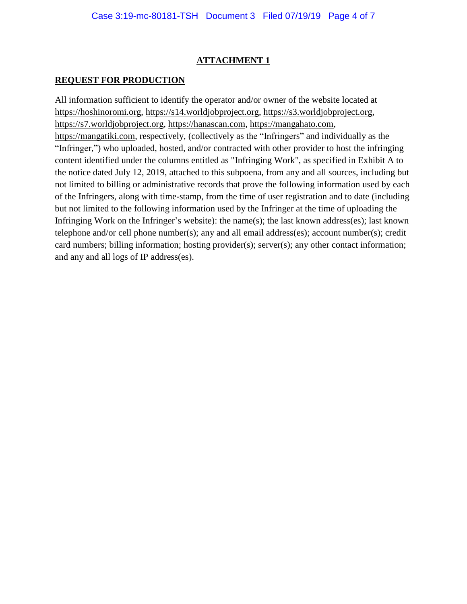# **ATTACHMENT 1**

# **REQUEST FOR PRODUCTION**

All information sufficient to identify the operator and/or owner of the website located at [https://hoshinoromi.org,](https://hoshinoromi.org/) [https://s14.worldjobproject.org,](https://s14.worldjobproject.org/) [https://s3.worldjobproject.org,](https://s3.worldjobproject.org/) [https://s7.worldjobproject.org,](https://s7.worldjobproject.org/) [https://hanascan.com,](https://hanascan.com/) [https://mangahato.com,](https://mangahato.com/) [https://mangatiki.com,](https://mangatiki.com/) respectively, (collectively as the "Infringers" and individually as the "Infringer,") who uploaded, hosted, and/or contracted with other provider to host the infringing content identified under the columns entitled as "Infringing Work", as specified in Exhibit A to the notice dated July 12, 2019, attached to this subpoena, from any and all sources, including but not limited to billing or administrative records that prove the following information used by each of the Infringers, along with time-stamp, from the time of user registration and to date (including but not limited to the following information used by the Infringer at the time of uploading the Infringing Work on the Infringer's website): the name(s); the last known address(es); last known telephone and/or cell phone number(s); any and all email address(es); account number(s); credit card numbers; billing information; hosting provider(s); server(s); any other contact information; and any and all logs of IP address(es).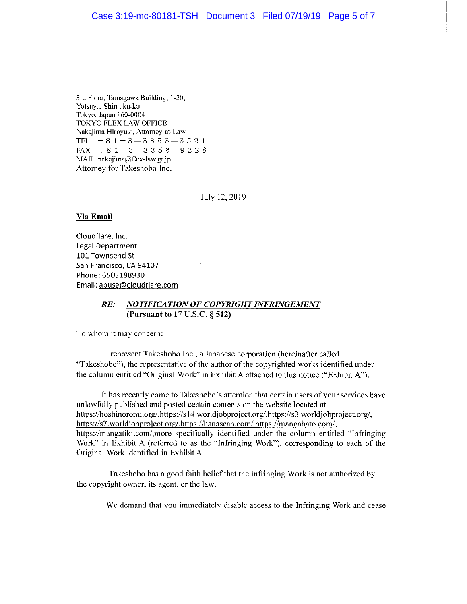## Case 3:19-mc-80181-TSH Document 3 Filed 07/19/19 Page 5 of 7

3rd Floor, Tamagawa Building, 1-20, Yotsuya, Shinjuku-ku Tokyo, Japan 160-0004 TOKYO FLEX LAW OFFICE Nakajima Hiroyuki, Attorney-at-Law TEL  $+81 - 3 - 3353 - 3521$ FAX  $+81 - 3 - 3356 - 9228$ MAIL nakajima@flex-law.gr.jp Attorney for Takeshobo Inc.

July 12, 2019

## **Via Email**

Cloudflare, Inc. **Legal Department** 101 Townsend St San Francisco, CA 94107 Phone: 6503198930 Email: abuse@cloudflare.com

#### NOTIFICATION OF COPYRIGHT INFRINGEMENT RE: (Pursuant to  $17$  U.S.C.  $\S 512$ )

To whom it may concern:

I represent Takeshobo Inc., a Japanese corporation (hereinafter called "Takeshobo"), the representative of the author of the copyrighted works identified under the column entitled "Original Work" in Exhibit A attached to this notice ("Exhibit A").

It has recently come to Takeshobo's attention that certain users of your services have unlawfully published and posted certain contents on the website located at https://hoshinoromi.org/,https://s14.worldjobproject.org/,https://s3.worldjobproject.org/, https://s7.worldjobproject.org/,https://hanascan.com/,https://mangahato.com/, https://mangatiki.com/.more specifically identified under the column entitled "Infringing" Work" in Exhibit A (referred to as the "Infringing Work"), corresponding to each of the Original Work identified in Exhibit A.

Takeshobo has a good faith belief that the Infringing Work is not authorized by the copyright owner, its agent, or the law.

We demand that you immediately disable access to the Infringing Work and cease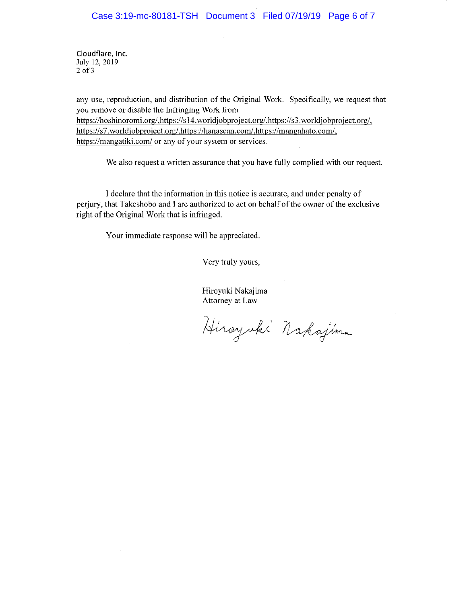Cloudflare, Inc. July 12, 2019  $2$  of  $3$ 

any use, reproduction, and distribution of the Original Work. Specifically, we request that you remove or disable the Infringing Work from https://hoshinoromi.org/,https://s14.worldjobproject.org/,https://s3.worldjobproject.org/, https://s7.worldjobproject.org/,https://hanascan.com/,https://mangahato.com/, https://mangatiki.com/ or any of your system or services.

We also request a written assurance that you have fully complied with our request.

I declare that the information in this notice is accurate, and under penalty of perjury, that Takeshobo and I are authorized to act on behalf of the owner of the exclusive right of the Original Work that is infringed.

Your immediate response will be appreciated.

Very truly yours,

Hiroyuki Nakajima Attorney at Law

Hirayuki Nakajima